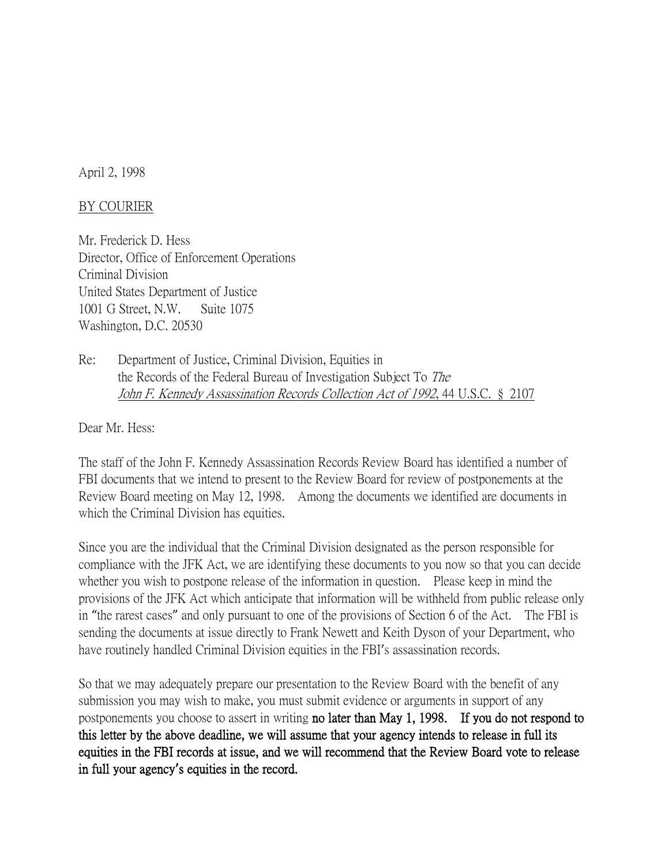April 2, 1998

## BY COURIER

Mr. Frederick D. Hess Director, Office of Enforcement Operations Criminal Division United States Department of Justice 1001 G Street, N.W. Suite 1075 Washington, D.C. 20530

Re: Department of Justice, Criminal Division, Equities in the Records of the Federal Bureau of Investigation Subject To The John F. Kennedy Assassination Records Collection Act of 1992, 44 U.S.C. § 2107

Dear Mr. Hess:

The staff of the John F. Kennedy Assassination Records Review Board has identified a number of FBI documents that we intend to present to the Review Board for review of postponements at the Review Board meeting on May 12, 1998. Among the documents we identified are documents in which the Criminal Division has equities.

Since you are the individual that the Criminal Division designated as the person responsible for compliance with the JFK Act, we are identifying these documents to you now so that you can decide whether you wish to postpone release of the information in question. Please keep in mind the provisions of the JFK Act which anticipate that information will be withheld from public release only in "the rarest cases" and only pursuant to one of the provisions of Section 6 of the Act. The FBI is sending the documents at issue directly to Frank Newett and Keith Dyson of your Department, who have routinely handled Criminal Division equities in the FBI's assassination records.

So that we may adequately prepare our presentation to the Review Board with the benefit of any submission you may wish to make, you must submit evidence or arguments in support of any postponements you choose to assert in writing no later than May 1, 1998. If you do not respond to this letter by the above deadline, we will assume that your agency intends to release in full its equities in the FBI records at issue, and we will recommend that the Review Board vote to release in full your agency**'**s equities in the record.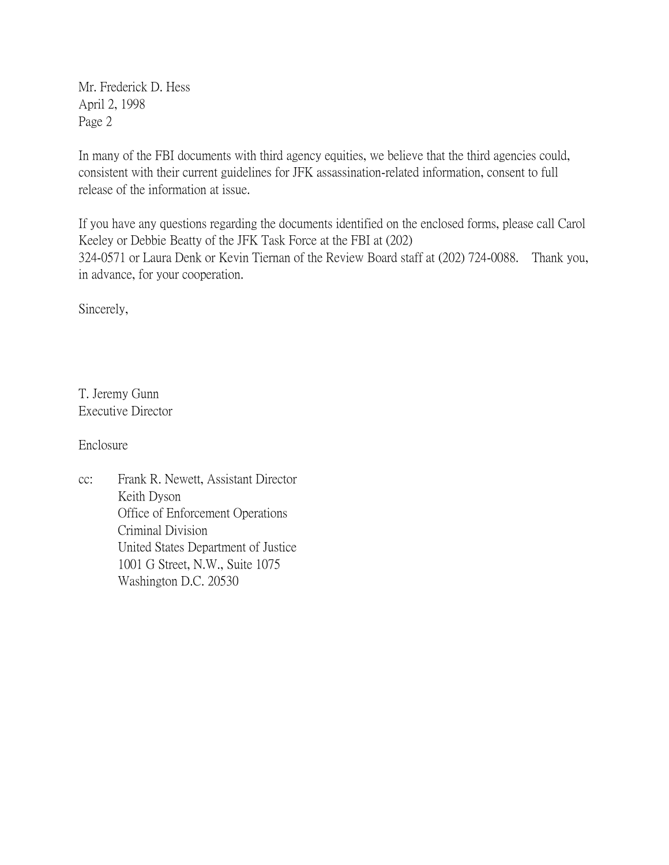Mr. Frederick D. Hess April 2, 1998 Page 2

In many of the FBI documents with third agency equities, we believe that the third agencies could, consistent with their current guidelines for JFK assassination-related information, consent to full release of the information at issue.

If you have any questions regarding the documents identified on the enclosed forms, please call Carol Keeley or Debbie Beatty of the JFK Task Force at the FBI at (202) 324-0571 or Laura Denk or Kevin Tiernan of the Review Board staff at (202) 724-0088. Thank you, in advance, for your cooperation.

Sincerely,

T. Jeremy Gunn Executive Director

Enclosure

cc: Frank R. Newett, Assistant Director Keith Dyson Office of Enforcement Operations Criminal Division United States Department of Justice 1001 G Street, N.W., Suite 1075 Washington D.C. 20530